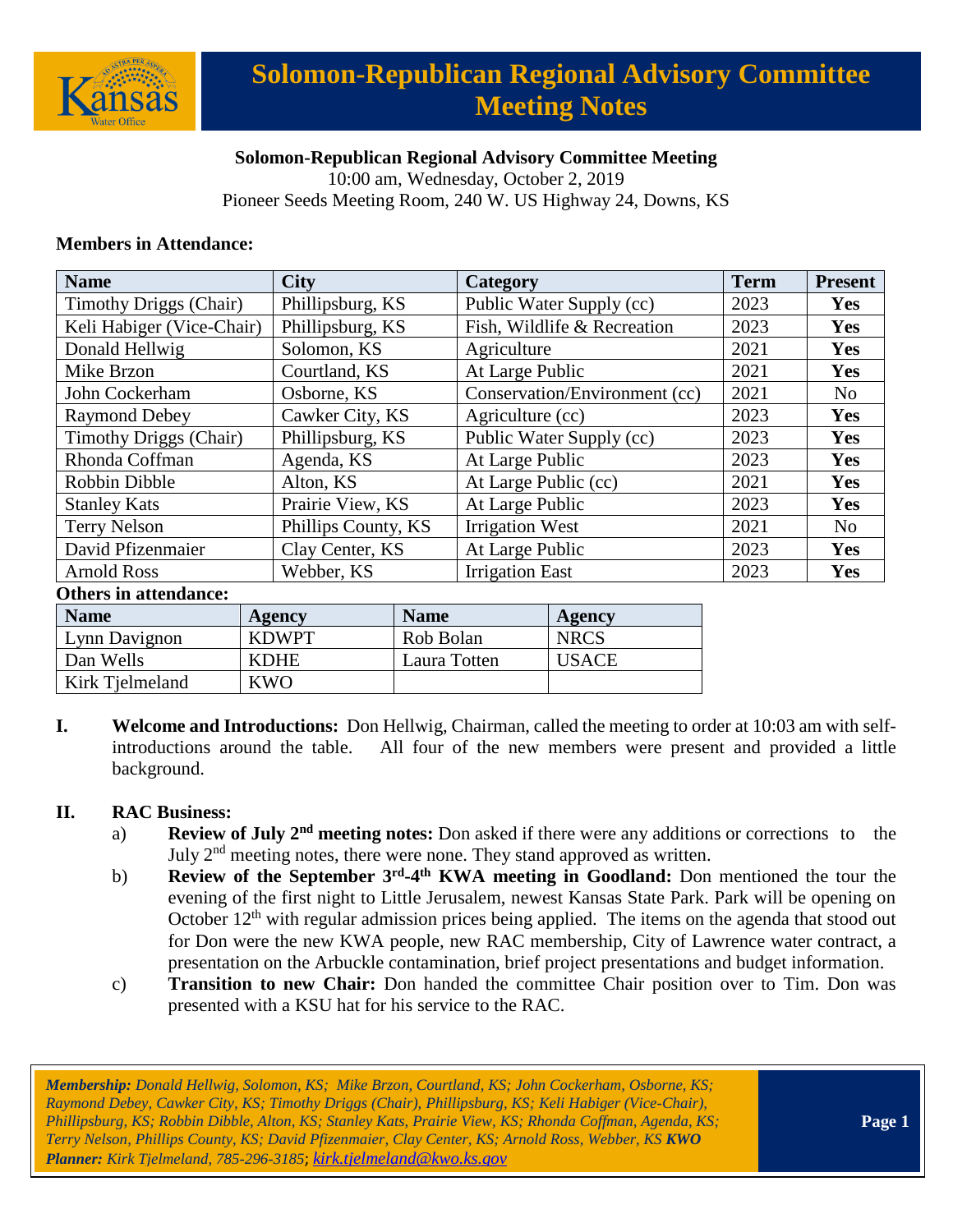

# **Solomon-Republican Regional Advisory Committee Meeting Notes**

### **Solomon-Republican Regional Advisory Committee Meeting**

10:00 am, Wednesday, October 2, 2019 Pioneer Seeds Meeting Room, 240 W. US Highway 24, Downs, KS

#### **Members in Attendance:**

| <b>Name</b>                   | <b>City</b>   |                     |                               | Category                    |      | <b>Present</b> |
|-------------------------------|---------------|---------------------|-------------------------------|-----------------------------|------|----------------|
| <b>Timothy Driggs (Chair)</b> |               | Phillipsburg, KS    |                               | Public Water Supply (cc)    |      | Yes            |
| Keli Habiger (Vice-Chair)     |               | Phillipsburg, KS    |                               | Fish, Wildlife & Recreation |      | Yes            |
| Donald Hellwig                | Solomon, KS   |                     | Agriculture                   |                             | 2021 | <b>Yes</b>     |
| Mike Brzon                    | Courtland, KS |                     |                               | At Large Public             |      | Yes            |
| John Cockerham<br>Osborne, KS |               |                     | Conservation/Environment (cc) |                             | 2021 | N <sub>0</sub> |
| <b>Raymond Debey</b>          |               | Cawker City, KS     |                               | Agriculture (cc)            |      | Yes            |
| <b>Timothy Driggs (Chair)</b> |               | Phillipsburg, KS    |                               | Public Water Supply (cc)    |      | Yes            |
| Rhonda Coffman                | Agenda, KS    |                     |                               | At Large Public             |      | <b>Yes</b>     |
| Robbin Dibble                 | Alton, KS     |                     |                               | At Large Public (cc)        |      | <b>Yes</b>     |
| <b>Stanley Kats</b>           |               | Prairie View, KS    |                               | At Large Public             |      | Yes            |
| <b>Terry Nelson</b>           |               | Phillips County, KS |                               | <b>Irrigation West</b>      |      | N <sub>o</sub> |
| David Pfizenmaier             |               | Clay Center, KS     |                               | At Large Public             |      | Yes            |
| <b>Arnold Ross</b>            | Webber, KS    |                     |                               | <b>Irrigation East</b>      |      | <b>Yes</b>     |
| <b>Others in attendance:</b>  |               |                     |                               |                             |      |                |
| <b>Name</b>                   | <b>Agency</b> | <b>Name</b>         |                               | Agency                      |      |                |
| Lynn Davignon                 | <b>KDWPT</b>  | Rob Bolan           |                               | <b>NRCS</b>                 |      |                |

**I. Welcome and Introductions:** Don Hellwig, Chairman, called the meeting to order at 10:03 am with selfintroductions around the table. All four of the new members were present and provided a little background.

#### **II. RAC Business:**

Kirk Tielmeland KWO

- a) **Review of July 2nd meeting notes:** Don asked if there were any additions or corrections to the July  $2<sup>nd</sup>$  meeting notes, there were none. They stand approved as written.
- b) **Review of the September 3<sup>rd</sup>-4<sup>th</sup> KWA meeting in Goodland:** Don mentioned the tour the evening of the first night to Little Jerusalem, newest Kansas State Park. Park will be opening on October  $12<sup>th</sup>$  with regular admission prices being applied. The items on the agenda that stood out for Don were the new KWA people, new RAC membership, City of Lawrence water contract, a presentation on the Arbuckle contamination, brief project presentations and budget information.
- c) **Transition to new Chair:** Don handed the committee Chair position over to Tim. Don was presented with a KSU hat for his service to the RAC.

Dan Wells KDHE Laura Totten USACE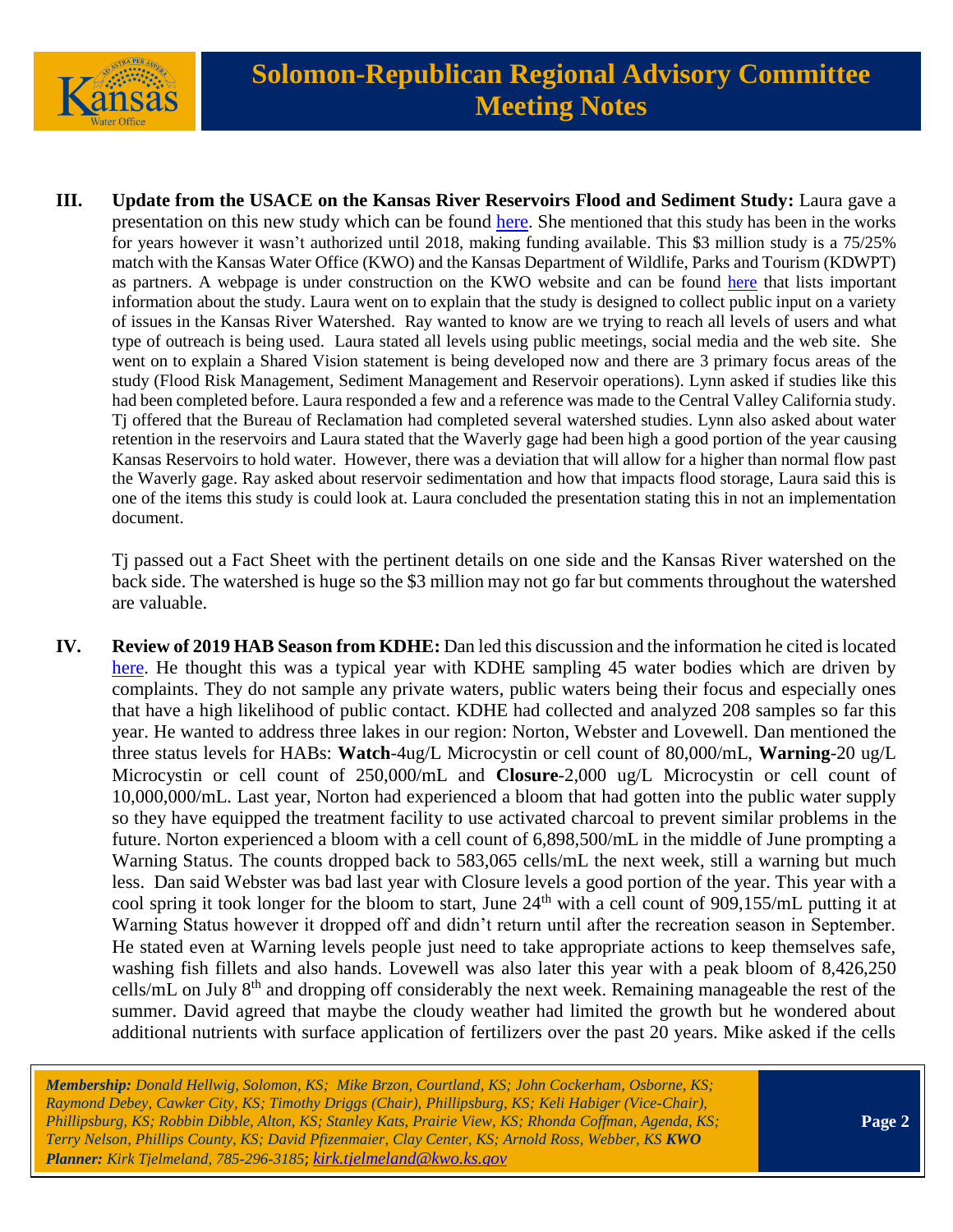

**III. Update from the USACE on the Kansas River Reservoirs Flood and Sediment Study:** Laura gave a presentation on this new study which can be found [here.](https://www.kwo.ks.gov/docs/default-source/regional-advisory-committees/solomon-republican-rac/solomon-republican-rac-presentations/2019-10-02-ks-river-ws_sr-rac-pres.pdf?sfvrsn=bd218214_0) She mentioned that this study has been in the works for years however it wasn't authorized until 2018, making funding available. This \$3 million study is a 75/25% match with the Kansas Water Office (KWO) and the Kansas Department of Wildlife, Parks and Tourism (KDWPT) as partners. A webpage is under construction on the KWO website and can be found [here](https://kwo.ks.gov/projects/kansas-watershed-study) that lists important information about the study. Laura went on to explain that the study is designed to collect public input on a variety of issues in the Kansas River Watershed. Ray wanted to know are we trying to reach all levels of users and what type of outreach is being used. Laura stated all levels using public meetings, social media and the web site. She went on to explain a Shared Vision statement is being developed now and there are 3 primary focus areas of the study (Flood Risk Management, Sediment Management and Reservoir operations). Lynn asked if studies like this had been completed before. Laura responded a few and a reference was made to the Central Valley California study. Tj offered that the Bureau of Reclamation had completed several watershed studies. Lynn also asked about water retention in the reservoirs and Laura stated that the Waverly gage had been high a good portion of the year causing Kansas Reservoirs to hold water. However, there was a deviation that will allow for a higher than normal flow past the Waverly gage. Ray asked about reservoir sedimentation and how that impacts flood storage, Laura said this is one of the items this study is could look at. Laura concluded the presentation stating this in not an implementation document.

 Tj passed out a Fact Sheet with the pertinent details on one side and the Kansas River watershed on the back side. The watershed is huge so the \$3 million may not go far but comments throughout the watershed are valuable.

**IV. Review of 2019 HAB Season from KDHE:** Dan led this discussion and the information he cited is located [here.](https://www.kwo.ks.gov/docs/default-source/regional-advisory-committees/solomon-republican-rac/solomon-republican-rac-presentations/kdhe-hab-facts-for-1022019.pdf?sfvrsn=af218214_0) He thought this was a typical year with KDHE sampling 45 water bodies which are driven by complaints. They do not sample any private waters, public waters being their focus and especially ones that have a high likelihood of public contact. KDHE had collected and analyzed 208 samples so far this year. He wanted to address three lakes in our region: Norton, Webster and Lovewell. Dan mentioned the three status levels for HABs: **Watch**-4ug/L Microcystin or cell count of 80,000/mL, **Warning**-20 ug/L Microcystin or cell count of 250,000/mL and **Closure**-2,000 ug/L Microcystin or cell count of 10,000,000/mL. Last year, Norton had experienced a bloom that had gotten into the public water supply so they have equipped the treatment facility to use activated charcoal to prevent similar problems in the future. Norton experienced a bloom with a cell count of 6,898,500/mL in the middle of June prompting a Warning Status. The counts dropped back to 583,065 cells/mL the next week, still a warning but much less. Dan said Webster was bad last year with Closure levels a good portion of the year. This year with a cool spring it took longer for the bloom to start, June 24<sup>th</sup> with a cell count of 909,155/mL putting it at Warning Status however it dropped off and didn't return until after the recreation season in September. He stated even at Warning levels people just need to take appropriate actions to keep themselves safe, washing fish fillets and also hands. Lovewell was also later this year with a peak bloom of 8,426,250 cells/mL on July 8<sup>th</sup> and dropping off considerably the next week. Remaining manageable the rest of the summer. David agreed that maybe the cloudy weather had limited the growth but he wondered about additional nutrients with surface application of fertilizers over the past 20 years. Mike asked if the cells

*Membership: Donald Hellwig, Solomon, KS; Mike Brzon, Courtland, KS; John Cockerham, Osborne, KS; Raymond Debey, Cawker City, KS; Timothy Driggs (Chair), Phillipsburg, KS; Keli Habiger (Vice-Chair), Phillipsburg, KS; Robbin Dibble, Alton, KS; Stanley Kats, Prairie View, KS; Rhonda Coffman, Agenda, KS; Terry Nelson, Phillips County, KS; David Pfizenmaier, Clay Center, KS; Arnold Ross, Webber, KS KWO Planner: Kirk Tjelmeland, 785-296-3185*; *[kirk.tjelmeland@kwo.ks.gov](mailto:kirk.tjelmeland@kwo.ks.gov)*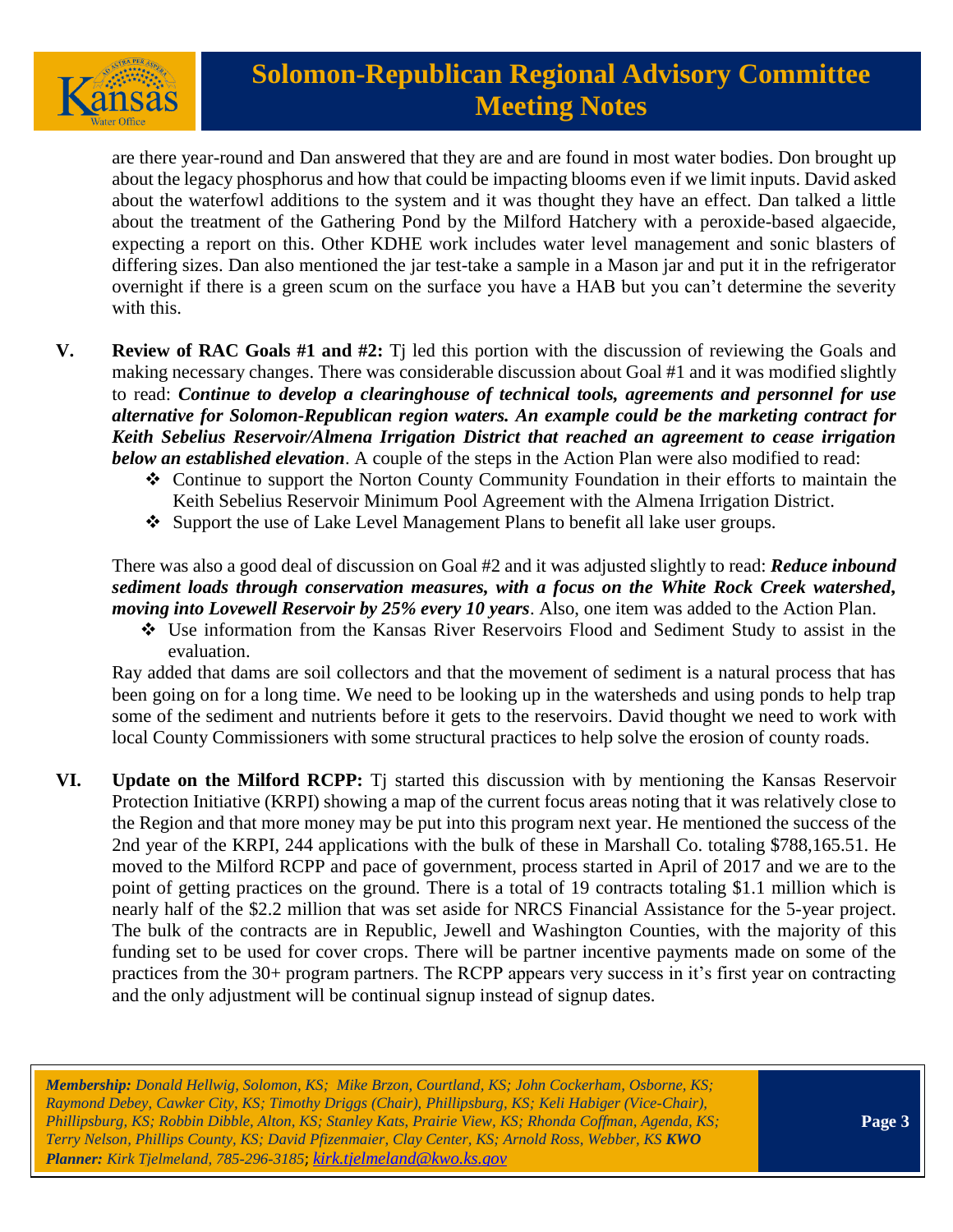

# **Solomon-Republican Regional Advisory Committee Meeting Notes**

are there year-round and Dan answered that they are and are found in most water bodies. Don brought up about the legacy phosphorus and how that could be impacting blooms even if we limit inputs. David asked about the waterfowl additions to the system and it was thought they have an effect. Dan talked a little about the treatment of the Gathering Pond by the Milford Hatchery with a peroxide-based algaecide, expecting a report on this. Other KDHE work includes water level management and sonic blasters of differing sizes. Dan also mentioned the jar test-take a sample in a Mason jar and put it in the refrigerator overnight if there is a green scum on the surface you have a HAB but you can't determine the severity with this.

- **V. Review of RAC Goals #1 and #2:** Tj led this portion with the discussion of reviewing the Goals and making necessary changes. There was considerable discussion about Goal #1 and it was modified slightly to read: *Continue to develop a clearinghouse of technical tools, agreements and personnel for use alternative for Solomon-Republican region waters. An example could be the marketing contract for Keith Sebelius Reservoir/Almena Irrigation District that reached an agreement to cease irrigation below an established elevation*. A couple of the steps in the Action Plan were also modified to read:
	- ❖ Continue to support the Norton County Community Foundation in their efforts to maintain the Keith Sebelius Reservoir Minimum Pool Agreement with the Almena Irrigation District.
	- ❖ Support the use of Lake Level Management Plans to benefit all lake user groups.

### There was also a good deal of discussion on Goal #2 and it was adjusted slightly to read: *Reduce inbound sediment loads through conservation measures, with a focus on the White Rock Creek watershed, moving into Lovewell Reservoir by 25% every 10 years*. Also, one item was added to the Action Plan.

❖ Use information from the Kansas River Reservoirs Flood and Sediment Study to assist in the evaluation.

Ray added that dams are soil collectors and that the movement of sediment is a natural process that has been going on for a long time. We need to be looking up in the watersheds and using ponds to help trap some of the sediment and nutrients before it gets to the reservoirs. David thought we need to work with local County Commissioners with some structural practices to help solve the erosion of county roads.

**VI. Update on the Milford RCPP:** Tj started this discussion with by mentioning the Kansas Reservoir Protection Initiative (KRPI) showing a map of the current focus areas noting that it was relatively close to the Region and that more money may be put into this program next year. He mentioned the success of the 2nd year of the KRPI, 244 applications with the bulk of these in Marshall Co. totaling \$788,165.51. He moved to the Milford RCPP and pace of government, process started in April of 2017 and we are to the point of getting practices on the ground. There is a total of 19 contracts totaling \$1.1 million which is nearly half of the \$2.2 million that was set aside for NRCS Financial Assistance for the 5-year project. The bulk of the contracts are in Republic, Jewell and Washington Counties, with the majority of this funding set to be used for cover crops. There will be partner incentive payments made on some of the practices from the 30+ program partners. The RCPP appears very success in it's first year on contracting and the only adjustment will be continual signup instead of signup dates.

*Membership: Donald Hellwig, Solomon, KS; Mike Brzon, Courtland, KS; John Cockerham, Osborne, KS; Raymond Debey, Cawker City, KS; Timothy Driggs (Chair), Phillipsburg, KS; Keli Habiger (Vice-Chair), Phillipsburg, KS; Robbin Dibble, Alton, KS; Stanley Kats, Prairie View, KS; Rhonda Coffman, Agenda, KS; Terry Nelson, Phillips County, KS; David Pfizenmaier, Clay Center, KS; Arnold Ross, Webber, KS KWO Planner: Kirk Tjelmeland, 785-296-3185*; *[kirk.tjelmeland@kwo.ks.gov](mailto:kirk.tjelmeland@kwo.ks.gov)*